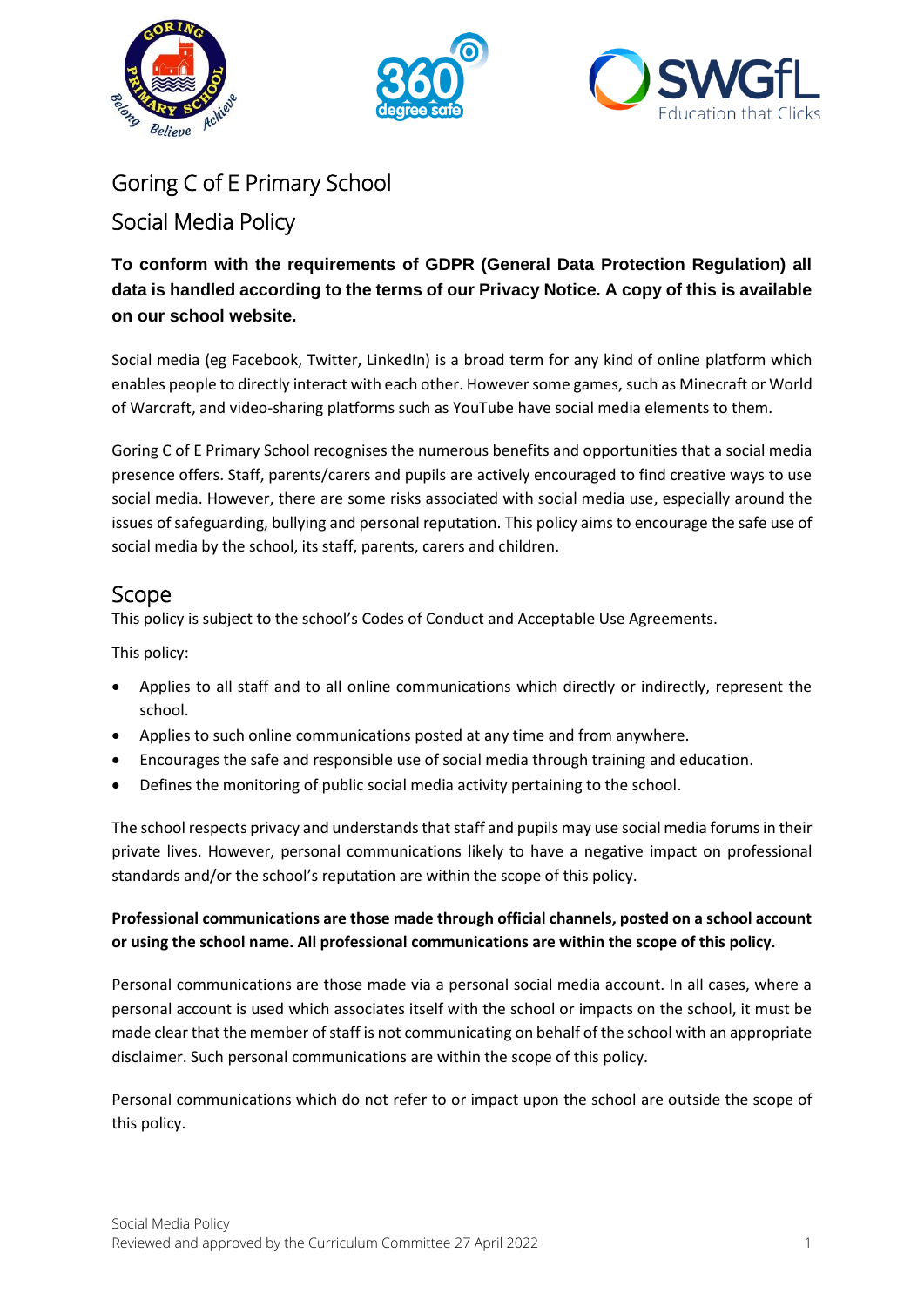





# Goring C of E Primary School

## Social Media Policy

### **To conform with the requirements of GDPR (General Data Protection Regulation) all data is handled according to the terms of our Privacy Notice. A copy of this is available on our school website.**

Social media (eg Facebook, Twitter, LinkedIn) is a broad term for any kind of online platform which enables people to directly interact with each other. However some games, such as Minecraft or World of Warcraft, and video-sharing platforms such as YouTube have social media elements to them.

Goring C of E Primary School recognises the numerous benefits and opportunities that a social media presence offers. Staff, parents/carers and pupils are actively encouraged to find creative ways to use social media. However, there are some risks associated with social media use, especially around the issues of safeguarding, bullying and personal reputation. This policy aims to encourage the safe use of social media by the school, its staff, parents, carers and children.

## Scope

This policy is subject to the school's Codes of Conduct and Acceptable Use Agreements.

This policy:

- Applies to all staff and to all online communications which directly or indirectly, represent the school.
- Applies to such online communications posted at any time and from anywhere.
- Encourages the safe and responsible use of social media through training and education.
- Defines the monitoring of public social media activity pertaining to the school.

The school respects privacy and understands that staff and pupils may use social media forums in their private lives. However, personal communications likely to have a negative impact on professional standards and/or the school's reputation are within the scope of this policy.

#### **Professional communications are those made through official channels, posted on a school account or using the school name. All professional communications are within the scope of this policy.**

Personal communications are those made via a personal social media account. In all cases, where a personal account is used which associates itself with the school or impacts on the school, it must be made clear that the member of staff is not communicating on behalf of the school with an appropriate disclaimer. Such personal communications are within the scope of this policy.

Personal communications which do not refer to or impact upon the school are outside the scope of this policy.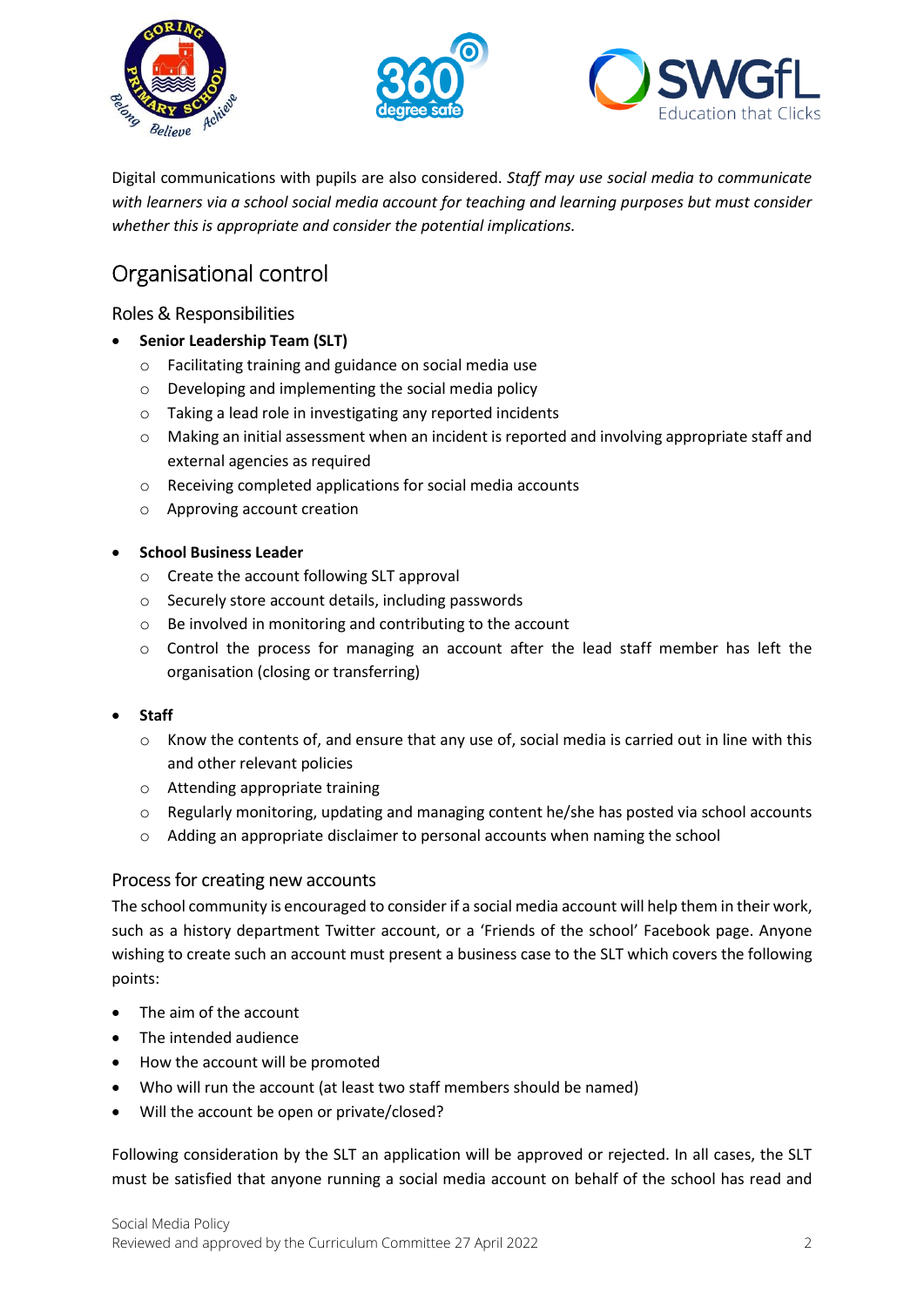





Digital communications with pupils are also considered. *Staff may use social media to communicate with learners via a school social media account for teaching and learning purposes but must consider whether this is appropriate and consider the potential implications.*

# Organisational control

#### Roles & Responsibilities

- **Senior Leadership Team (SLT)**
	- o Facilitating training and guidance on social media use
	- o Developing and implementing the social media policy
	- o Taking a lead role in investigating any reported incidents
	- $\circ$  Making an initial assessment when an incident is reported and involving appropriate staff and external agencies as required
	- o Receiving completed applications for social media accounts
	- o Approving account creation

#### • **School Business Leader**

- o Create the account following SLT approval
- o Securely store account details, including passwords
- o Be involved in monitoring and contributing to the account
- $\circ$  Control the process for managing an account after the lead staff member has left the organisation (closing or transferring)

#### • **Staff**

- $\circ$  Know the contents of, and ensure that any use of, social media is carried out in line with this and other relevant policies
- o Attending appropriate training
- $\circ$  Regularly monitoring, updating and managing content he/she has posted via school accounts
- $\circ$  Adding an appropriate disclaimer to personal accounts when naming the school

#### Process for creating new accounts

The school community is encouraged to consider if a social media account will help them in their work, such as a history department Twitter account, or a 'Friends of the school' Facebook page. Anyone wishing to create such an account must present a business case to the SLT which covers the following points:

- The aim of the account
- The intended audience
- How the account will be promoted
- Who will run the account (at least two staff members should be named)
- Will the account be open or private/closed?

Following consideration by the SLT an application will be approved or rejected. In all cases, the SLT must be satisfied that anyone running a social media account on behalf of the school has read and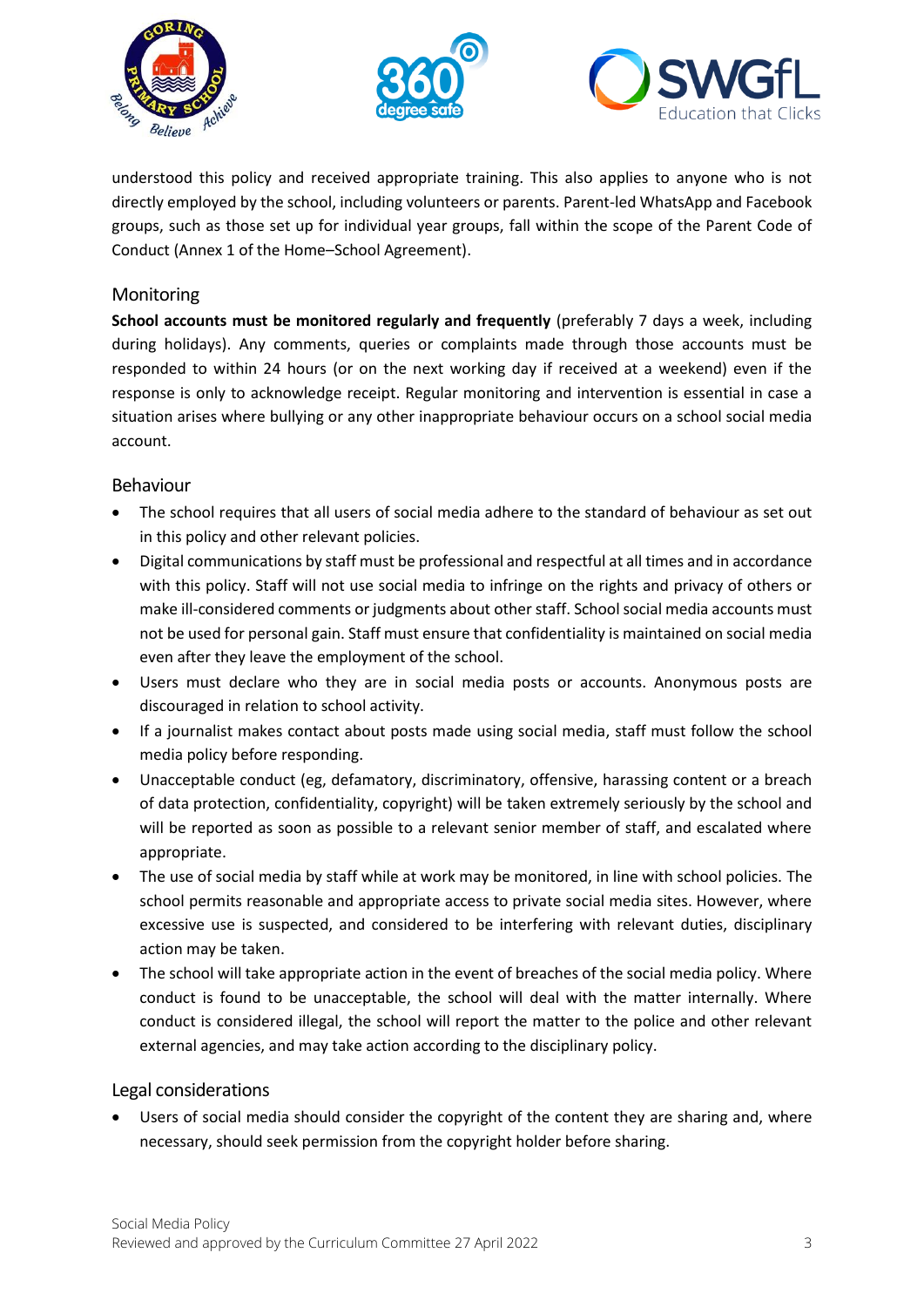





understood this policy and received appropriate training. This also applies to anyone who is not directly employed by the school, including volunteers or parents. Parent-led WhatsApp and Facebook groups, such as those set up for individual year groups, fall within the scope of the Parent Code of Conduct (Annex 1 of the Home–School Agreement).

#### Monitoring

**School accounts must be monitored regularly and frequently** (preferably 7 days a week, including during holidays). Any comments, queries or complaints made through those accounts must be responded to within 24 hours (or on the next working day if received at a weekend) even if the response is only to acknowledge receipt. Regular monitoring and intervention is essential in case a situation arises where bullying or any other inappropriate behaviour occurs on a school social media account.

#### Behaviour

- The school requires that all users of social media adhere to the standard of behaviour as set out in this policy and other relevant policies.
- Digital communications by staff must be professional and respectful at all times and in accordance with this policy. Staff will not use social media to infringe on the rights and privacy of others or make ill-considered comments or judgments about other staff. School social media accounts must not be used for personal gain. Staff must ensure that confidentiality is maintained on social media even after they leave the employment of the school.
- Users must declare who they are in social media posts or accounts. Anonymous posts are discouraged in relation to school activity.
- If a journalist makes contact about posts made using social media, staff must follow the school media policy before responding.
- Unacceptable conduct (eg, defamatory, discriminatory, offensive, harassing content or a breach of data protection, confidentiality, copyright) will be taken extremely seriously by the school and will be reported as soon as possible to a relevant senior member of staff, and escalated where appropriate.
- The use of social media by staff while at work may be monitored, in line with school policies. The school permits reasonable and appropriate access to private social media sites. However, where excessive use is suspected, and considered to be interfering with relevant duties, disciplinary action may be taken.
- The school will take appropriate action in the event of breaches of the social media policy. Where conduct is found to be unacceptable, the school will deal with the matter internally. Where conduct is considered illegal, the school will report the matter to the police and other relevant external agencies, and may take action according to the disciplinary policy.

#### Legal considerations

• Users of social media should consider the copyright of the content they are sharing and, where necessary, should seek permission from the copyright holder before sharing.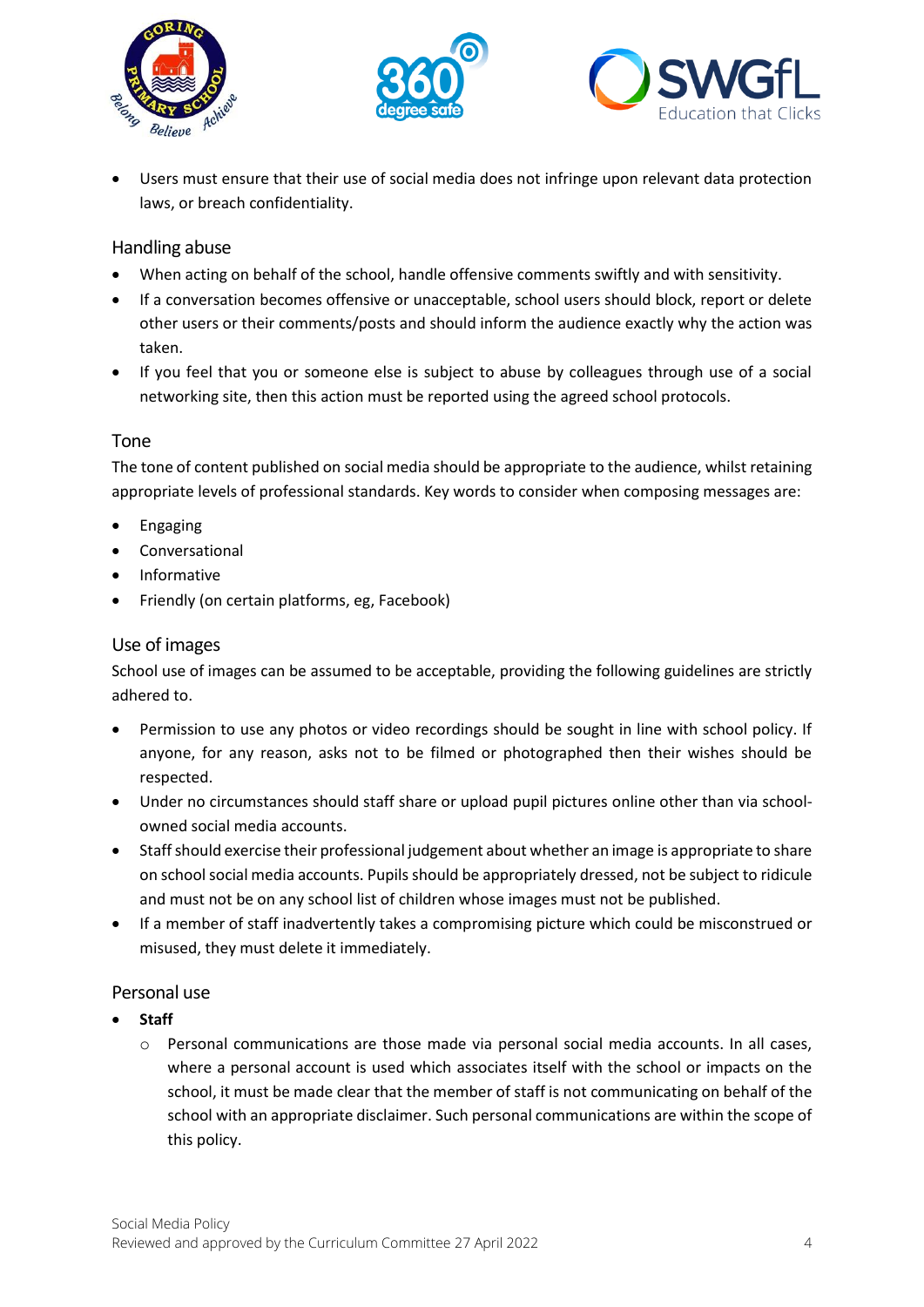





• Users must ensure that their use of social media does not infringe upon relevant data protection laws, or breach confidentiality.

#### Handling abuse

- When acting on behalf of the school, handle offensive comments swiftly and with sensitivity.
- If a conversation becomes offensive or unacceptable, school users should block, report or delete other users or their comments/posts and should inform the audience exactly why the action was taken.
- If you feel that you or someone else is subject to abuse by colleagues through use of a social networking site, then this action must be reported using the agreed school protocols.

#### Tone

The tone of content published on social media should be appropriate to the audience, whilst retaining appropriate levels of professional standards. Key words to consider when composing messages are:

- Engaging
- **Conversational**
- Informative
- Friendly (on certain platforms, eg, Facebook)

#### Use of images

School use of images can be assumed to be acceptable, providing the following guidelines are strictly adhered to.

- Permission to use any photos or video recordings should be sought in line with school policy. If anyone, for any reason, asks not to be filmed or photographed then their wishes should be respected.
- Under no circumstances should staff share or upload pupil pictures online other than via schoolowned social media accounts.
- Staff should exercise their professional judgement about whether an image is appropriate to share on school social media accounts. Pupils should be appropriately dressed, not be subject to ridicule and must not be on any school list of children whose images must not be published.
- If a member of staff inadvertently takes a compromising picture which could be misconstrued or misused, they must delete it immediately.

#### Personal use

- **Staff**
	- $\circ$  Personal communications are those made via personal social media accounts. In all cases, where a personal account is used which associates itself with the school or impacts on the school, it must be made clear that the member of staff is not communicating on behalf of the school with an appropriate disclaimer. Such personal communications are within the scope of this policy.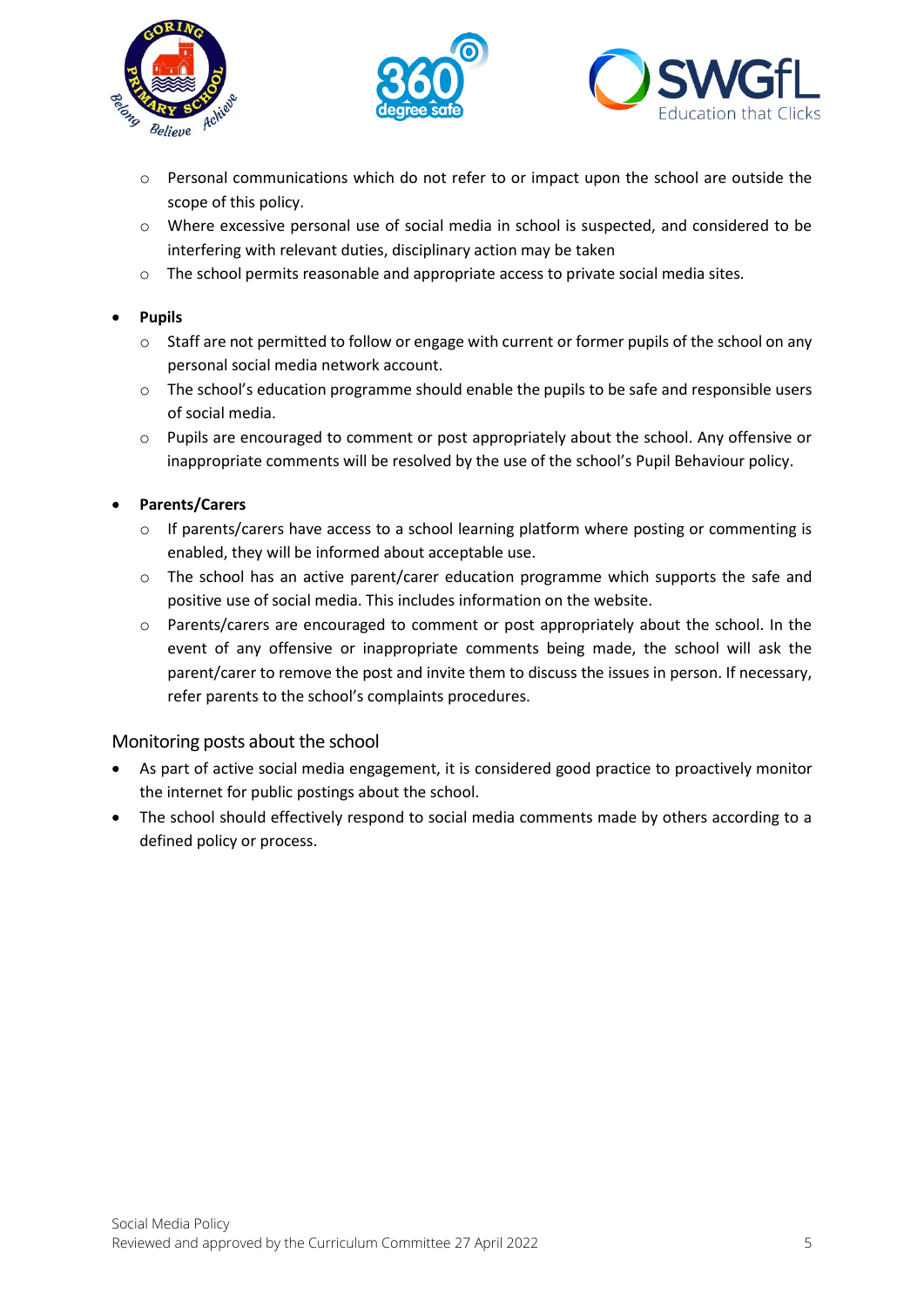





- $\circ$  Personal communications which do not refer to or impact upon the school are outside the scope of this policy.
- o Where excessive personal use of social media in school is suspected, and considered to be interfering with relevant duties, disciplinary action may be taken
- o The school permits reasonable and appropriate access to private social media sites*.*

#### • **Pupils**

- $\circ$  Staff are not permitted to follow or engage with current or former pupils of the school on any personal social media network account.
- o The school's education programme should enable the pupils to be safe and responsible users of social media.
- o Pupils are encouraged to comment or post appropriately about the school. Any offensive or inappropriate comments will be resolved by the use of the school's Pupil Behaviour policy.

#### • **Parents/Carers**

- o If parents/carers have access to a school learning platform where posting or commenting is enabled, they will be informed about acceptable use.
- $\circ$  The school has an active parent/carer education programme which supports the safe and positive use of social media. This includes information on the website.
- o Parents/carers are encouraged to comment or post appropriately about the school. In the event of any offensive or inappropriate comments being made, the school will ask the parent/carer to remove the post and invite them to discuss the issues in person. If necessary, refer parents to the school's complaints procedures.

#### Monitoring posts about the school

- As part of active social media engagement, it is considered good practice to proactively monitor the internet for public postings about the school.
- The school should effectively respond to social media comments made by others according to a defined policy or process.